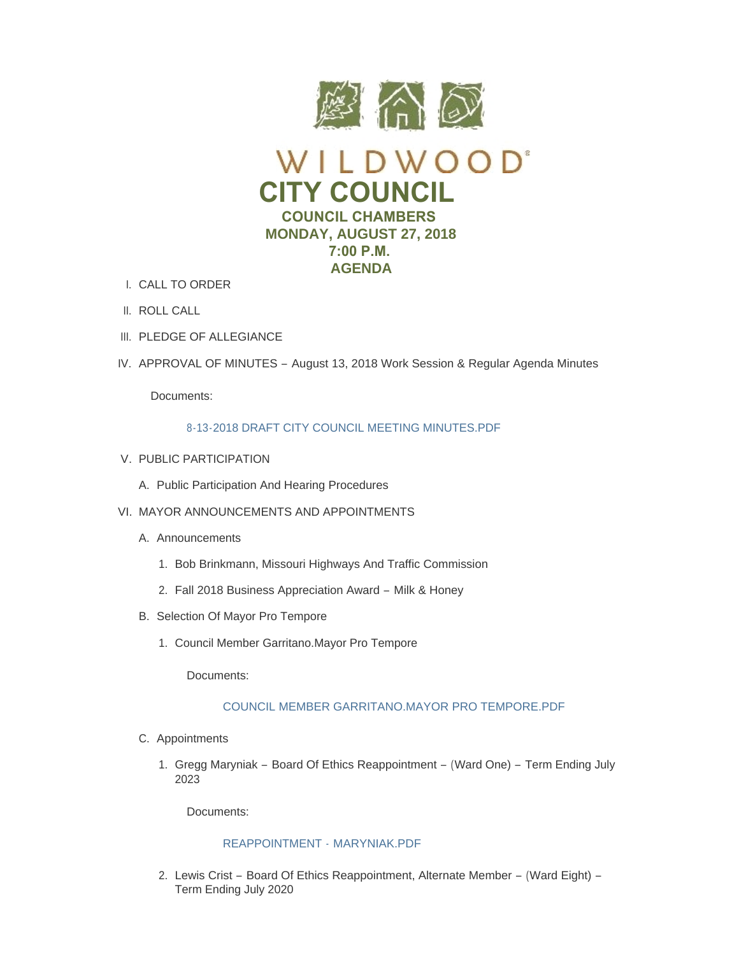

- CALL TO ORDER I.
- II. ROLL CALL
- III. PLEDGE OF ALLEGIANCE
- IV. APPROVAL OF MINUTES August 13, 2018 Work Session & Regular Agenda Minutes

Documents:

# 8-13-2018 DRAFT CITY COUNCIL MEETING MINUTES PDF

- V. PUBLIC PARTICIPATION
	- A. Public Participation And Hearing Procedures
- VI. MAYOR ANNOUNCEMENTS AND APPOINTMENTS
	- A. Announcements
		- 1. Bob Brinkmann, Missouri Highways And Traffic Commission
		- Fall 2018 Business Appreciation Award Milk & Honey 2.
	- B. Selection Of Mayor Pro Tempore
		- 1. Council Member Garritano. Mayor Pro Tempore

Documents:

# [COUNCIL MEMBER GARRITANO.MAYOR PRO TEMPORE.PDF](https://www.cityofwildwood.com/AgendaCenter/ViewFile/Item/16885?fileID=24284)

- C. Appointments
	- 1. Gregg Maryniak Board Of Ethics Reappointment (Ward One) Term Ending July 2023

Documents:

## [REAPPOINTMENT -](https://www.cityofwildwood.com/AgendaCenter/ViewFile/Item/16887?fileID=24286) MARYNIAK.PDF

2. Lewis Crist - Board Of Ethics Reappointment, Alternate Member - (Ward Eight) -Term Ending July 2020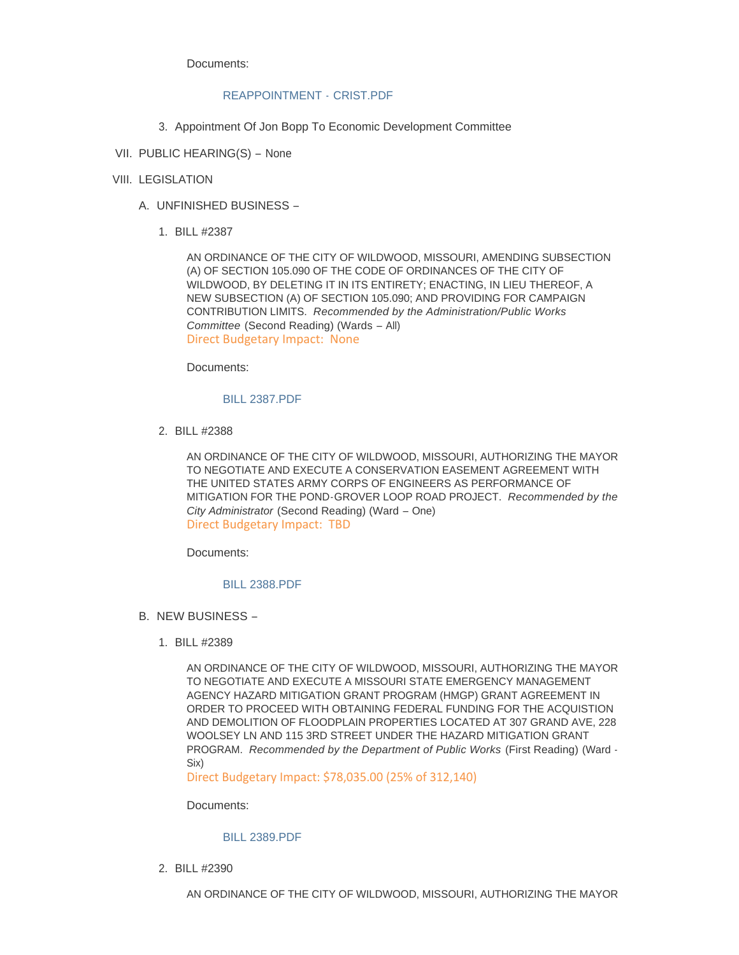Documents:

## [REAPPOINTMENT -](https://www.cityofwildwood.com/AgendaCenter/ViewFile/Item/16888?fileID=24287) CRIST.PDF

- 3. Appointment Of Jon Bopp To Economic Development Committee
- VII. PUBLIC HEARING(S) None

## VIII. LEGISLATION

- UNFINISHED BUSINESS A.
	- BILL #2387 1.

AN ORDINANCE OF THE CITY OF WILDWOOD, MISSOURI, AMENDING SUBSECTION (A) OF SECTION 105.090 OF THE CODE OF ORDINANCES OF THE CITY OF WILDWOOD, BY DELETING IT IN ITS ENTIRETY; ENACTING, IN LIEU THEREOF, A NEW SUBSECTION (A) OF SECTION 105.090; AND PROVIDING FOR CAMPAIGN CONTRIBUTION LIMITS. *Recommended by the Administration/Public Works Committee* (Second Reading) (Wards – All) Direct Budgetary Impact: None

Documents:

# [BILL 2387.PDF](https://www.cityofwildwood.com/AgendaCenter/ViewFile/Item/16785?fileID=24245)

BILL #2388 2.

AN ORDINANCE OF THE CITY OF WILDWOOD, MISSOURI, AUTHORIZING THE MAYOR TO NEGOTIATE AND EXECUTE A CONSERVATION EASEMENT AGREEMENT WITH THE UNITED STATES ARMY CORPS OF ENGINEERS AS PERFORMANCE OF MITIGATION FOR THE POND-GROVER LOOP ROAD PROJECT. *Recommended by the City Administrator* (Second Reading) (Ward – One) Direct Budgetary Impact: TBD

Documents:

# [BILL 2388.PDF](https://www.cityofwildwood.com/AgendaCenter/ViewFile/Item/16786?fileID=24246)

- B. NEW BUSINESS
	- BILL #2389 1.

AN ORDINANCE OF THE CITY OF WILDWOOD, MISSOURI, AUTHORIZING THE MAYOR TO NEGOTIATE AND EXECUTE A MISSOURI STATE EMERGENCY MANAGEMENT AGENCY HAZARD MITIGATION GRANT PROGRAM (HMGP) GRANT AGREEMENT IN ORDER TO PROCEED WITH OBTAINING FEDERAL FUNDING FOR THE ACQUISTION AND DEMOLITION OF FLOODPLAIN PROPERTIES LOCATED AT 307 GRAND AVE, 228 WOOLSEY LN AND 115 3RD STREET UNDER THE HAZARD MITIGATION GRANT PROGRAM. *Recommended by the Department of Public Works* (First Reading) (Ward - Six)

Direct Budgetary Impact: \$78,035.00 (25% of 312,140)

Documents:

### [BILL 2389.PDF](https://www.cityofwildwood.com/AgendaCenter/ViewFile/Item/16788?fileID=24247)

BILL #2390 2.

AN ORDINANCE OF THE CITY OF WILDWOOD, MISSOURI, AUTHORIZING THE MAYOR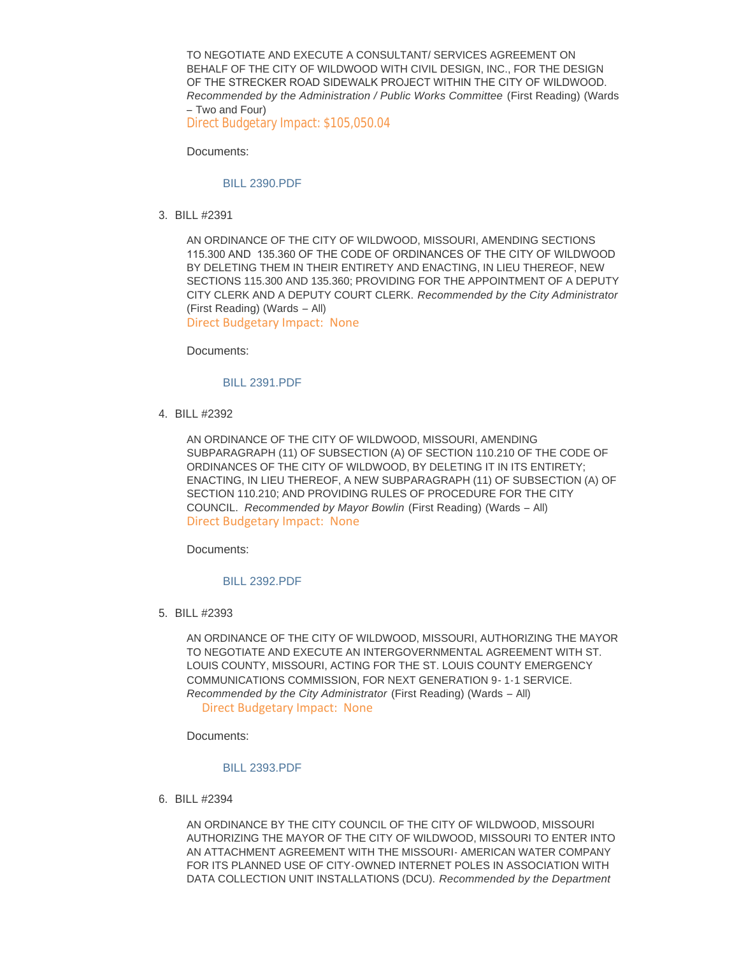TO NEGOTIATE AND EXECUTE A CONSULTANT/ SERVICES AGREEMENT ON BEHALF OF THE CITY OF WILDWOOD WITH CIVIL DESIGN, INC., FOR THE DESIGN OF THE STRECKER ROAD SIDEWALK PROJECT WITHIN THE CITY OF WILDWOOD. *Recommended by the Administration / Public Works Committee* (First Reading) (Wards – Two and Four)

Direct Budgetary Impact: \$105,050.04

Documents:

### [BILL 2390.PDF](https://www.cityofwildwood.com/AgendaCenter/ViewFile/Item/16789?fileID=24248)

BILL #2391 3.

AN ORDINANCE OF THE CITY OF WILDWOOD, MISSOURI, AMENDING SECTIONS 115.300 AND 135.360 OF THE CODE OF ORDINANCES OF THE CITY OF WILDWOOD BY DELETING THEM IN THEIR ENTIRETY AND ENACTING, IN LIEU THEREOF, NEW SECTIONS 115.300 AND 135.360; PROVIDING FOR THE APPOINTMENT OF A DEPUTY CITY CLERK AND A DEPUTY COURT CLERK. *Recommended by the City Administrator*  (First Reading) (Wards – All) Direct Budgetary Impact: None

Documents:

#### [BILL 2391.PDF](https://www.cityofwildwood.com/AgendaCenter/ViewFile/Item/16790?fileID=24249)

BILL #2392 4.

AN ORDINANCE OF THE CITY OF WILDWOOD, MISSOURI, AMENDING SUBPARAGRAPH (11) OF SUBSECTION (A) OF SECTION 110.210 OF THE CODE OF ORDINANCES OF THE CITY OF WILDWOOD, BY DELETING IT IN ITS ENTIRETY; ENACTING, IN LIEU THEREOF, A NEW SUBPARAGRAPH (11) OF SUBSECTION (A) OF SECTION 110.210; AND PROVIDING RULES OF PROCEDURE FOR THE CITY COUNCIL. *Recommended by Mayor Bowlin* (First Reading) (Wards – All) Direct Budgetary Impact: None

Documents:

### [BILL 2392.PDF](https://www.cityofwildwood.com/AgendaCenter/ViewFile/Item/16791?fileID=24250)

BILL #2393 5.

AN ORDINANCE OF THE CITY OF WILDWOOD, MISSOURI, AUTHORIZING THE MAYOR TO NEGOTIATE AND EXECUTE AN INTERGOVERNMENTAL AGREEMENT WITH ST. LOUIS COUNTY, MISSOURI, ACTING FOR THE ST. LOUIS COUNTY EMERGENCY COMMUNICATIONS COMMISSION, FOR NEXT GENERATION 9-1-1 SERVICE. *Recommended by the City Administrator* (First Reading) (Wards – All) Direct Budgetary Impact: None

Documents:

#### [BILL 2393.PDF](https://www.cityofwildwood.com/AgendaCenter/ViewFile/Item/16792?fileID=24251)

BILL #2394 6.

AN ORDINANCE BY THE CITY COUNCIL OF THE CITY OF WILDWOOD, MISSOURI AUTHORIZING THE MAYOR OF THE CITY OF WILDWOOD, MISSOURI TO ENTER INTO AN ATTACHMENT AGREEMENT WITH THE MISSOURI- AMERICAN WATER COMPANY FOR ITS PLANNED USE OF CITY-OWNED INTERNET POLES IN ASSOCIATION WITH DATA COLLECTION UNIT INSTALLATIONS (DCU). *Recommended by the Department*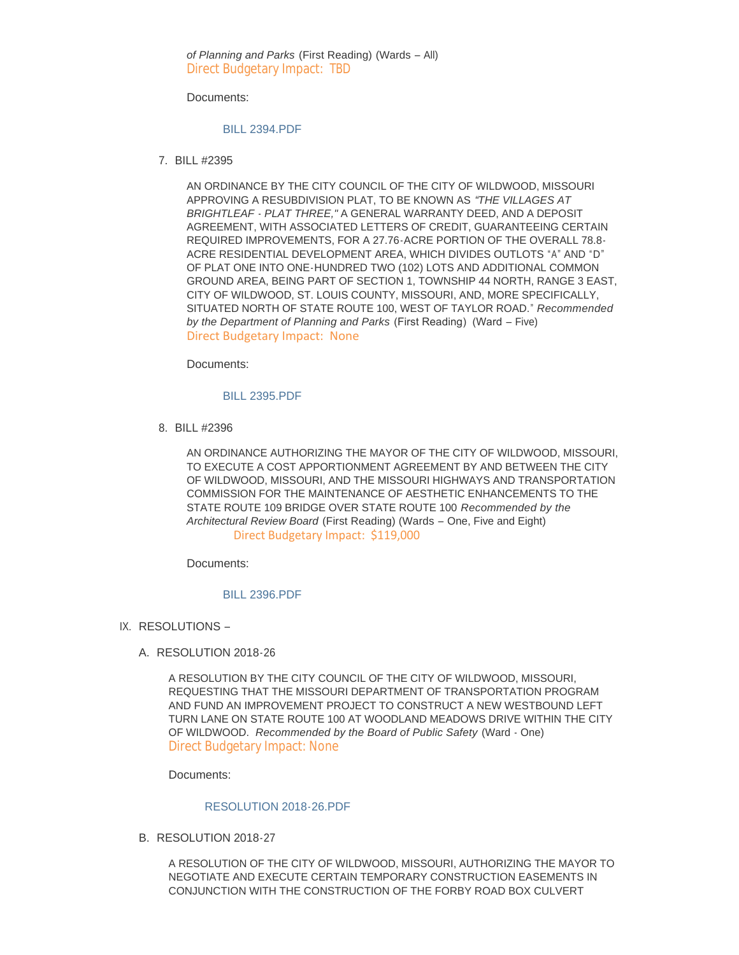*of Planning and Parks* (First Reading) (Wards – All) Direct Budgetary Impact: TBD

Documents:

### [BILL 2394.PDF](https://www.cityofwildwood.com/AgendaCenter/ViewFile/Item/16793?fileID=24252)

BILL #2395 7.

AN ORDINANCE BY THE CITY COUNCIL OF THE CITY OF WILDWOOD, MISSOURI APPROVING A RESUBDIVISION PLAT, TO BE KNOWN AS *"THE VILLAGES AT BRIGHTLEAF - PLAT THREE,"* A GENERAL WARRANTY DEED, AND A DEPOSIT AGREEMENT, WITH ASSOCIATED LETTERS OF CREDIT, GUARANTEEING CERTAIN REQUIRED IMPROVEMENTS, FOR A 27.76-ACRE PORTION OF THE OVERALL 78.8- ACRE RESIDENTIAL DEVELOPMENT AREA, WHICH DIVIDES OUTLOTS "A" AND "D" OF PLAT ONE INTO ONE-HUNDRED TWO (102) LOTS AND ADDITIONAL COMMON GROUND AREA, BEING PART OF SECTION 1, TOWNSHIP 44 NORTH, RANGE 3 EAST, CITY OF WILDWOOD, ST. LOUIS COUNTY, MISSOURI, AND, MORE SPECIFICALLY, SITUATED NORTH OF STATE ROUTE 100, WEST OF TAYLOR ROAD." *Recommended by the Department of Planning and Parks* (First Reading) (Ward – Five) Direct Budgetary Impact: None

Documents:

### [BILL 2395.PDF](https://www.cityofwildwood.com/AgendaCenter/ViewFile/Item/16794?fileID=24253)

BILL #2396 8.

AN ORDINANCE AUTHORIZING THE MAYOR OF THE CITY OF WILDWOOD, MISSOURI, TO EXECUTE A COST APPORTIONMENT AGREEMENT BY AND BETWEEN THE CITY OF WILDWOOD, MISSOURI, AND THE MISSOURI HIGHWAYS AND TRANSPORTATION COMMISSION FOR THE MAINTENANCE OF AESTHETIC ENHANCEMENTS TO THE STATE ROUTE 109 BRIDGE OVER STATE ROUTE 100 *Recommended by the Architectural Review Board* (First Reading) (Wards – One, Five and Eight) Direct Budgetary Impact: \$119,000

Documents:

#### [BILL 2396.PDF](https://www.cityofwildwood.com/AgendaCenter/ViewFile/Item/16795?fileID=24282)

- IX. RESOLUTIONS
	- A. RESOLUTION 2018-26

A RESOLUTION BY THE CITY COUNCIL OF THE CITY OF WILDWOOD, MISSOURI, REQUESTING THAT THE MISSOURI DEPARTMENT OF TRANSPORTATION PROGRAM AND FUND AN IMPROVEMENT PROJECT TO CONSTRUCT A NEW WESTBOUND LEFT TURN LANE ON STATE ROUTE 100 AT WOODLAND MEADOWS DRIVE WITHIN THE CITY OF WILDWOOD. *Recommended by the Board of Public Safety* (Ward - One) Direct Budgetary Impact: None

Documents:

### [RESOLUTION 2018-26.PDF](https://www.cityofwildwood.com/AgendaCenter/ViewFile/Item/16797?fileID=24254)

B. RESOLUTION 2018-27

A RESOLUTION OF THE CITY OF WILDWOOD, MISSOURI, AUTHORIZING THE MAYOR TO NEGOTIATE AND EXECUTE CERTAIN TEMPORARY CONSTRUCTION EASEMENTS IN CONJUNCTION WITH THE CONSTRUCTION OF THE FORBY ROAD BOX CULVERT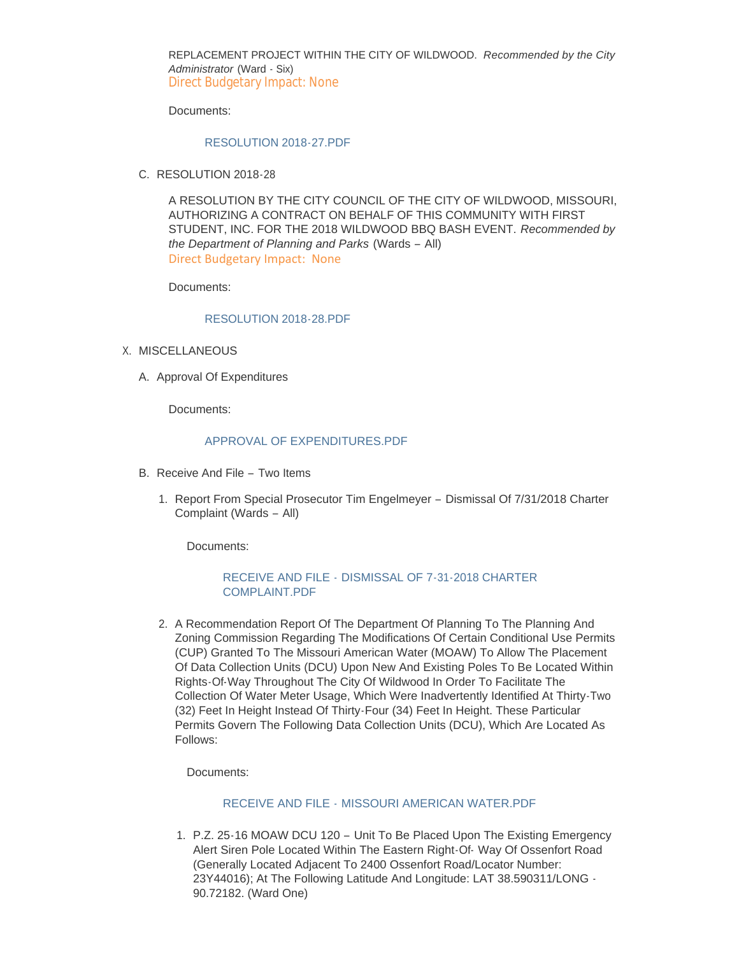REPLACEMENT PROJECT WITHIN THE CITY OF WILDWOOD. *Recommended by the City Administrator* (Ward - Six) Direct Budgetary Impact: None

Documents:

### [RESOLUTION 2018-27.PDF](https://www.cityofwildwood.com/AgendaCenter/ViewFile/Item/16798?fileID=24255)

C. RESOLUTION 2018-28

A RESOLUTION BY THE CITY COUNCIL OF THE CITY OF WILDWOOD, MISSOURI, AUTHORIZING A CONTRACT ON BEHALF OF THIS COMMUNITY WITH FIRST STUDENT, INC. FOR THE 2018 WILDWOOD BBQ BASH EVENT. *Recommended by the Department of Planning and Parks* (Wards – All) Direct Budgetary Impact: None

Documents:

### [RESOLUTION 2018-28.PDF](https://www.cityofwildwood.com/AgendaCenter/ViewFile/Item/16886?fileID=24285)

- X. MISCELLANEOUS
	- A. Approval Of Expenditures

Documents:

### APPROVAL OF EXPENDITURES PDF

- B. Receive And File Two Items
	- 1. Report From Special Prosecutor Tim Engelmeyer Dismissal Of 7/31/2018 Charter Complaint (Wards – All)

Documents:

# RECEIVE AND FILE - [DISMISSAL OF 7-31-2018 CHARTER](https://www.cityofwildwood.com/AgendaCenter/ViewFile/Item/16803?fileID=24257)  COMPLAINT.PDF

2. A Recommendation Report Of The Department Of Planning To The Planning And Zoning Commission Regarding The Modifications Of Certain Conditional Use Permits (CUP) Granted To The Missouri American Water (MOAW) To Allow The Placement Of Data Collection Units (DCU) Upon New And Existing Poles To Be Located Within Rights-Of-Way Throughout The City Of Wildwood In Order To Facilitate The Collection Of Water Meter Usage, Which Were Inadvertently Identified At Thirty-Two (32) Feet In Height Instead Of Thirty-Four (34) Feet In Height. These Particular Permits Govern The Following Data Collection Units (DCU), Which Are Located As Follows:

Documents:

## RECEIVE AND FILE - [MISSOURI AMERICAN WATER.PDF](https://www.cityofwildwood.com/AgendaCenter/ViewFile/Item/16804?fileID=24258)

1. P.Z. 25-16 MOAW DCU 120 - Unit To Be Placed Upon The Existing Emergency Alert Siren Pole Located Within The Eastern Right-Of- Way Of Ossenfort Road (Generally Located Adjacent To 2400 Ossenfort Road/Locator Number: 23Y44016); At The Following Latitude And Longitude: LAT 38.590311/LONG - 90.72182. (Ward One)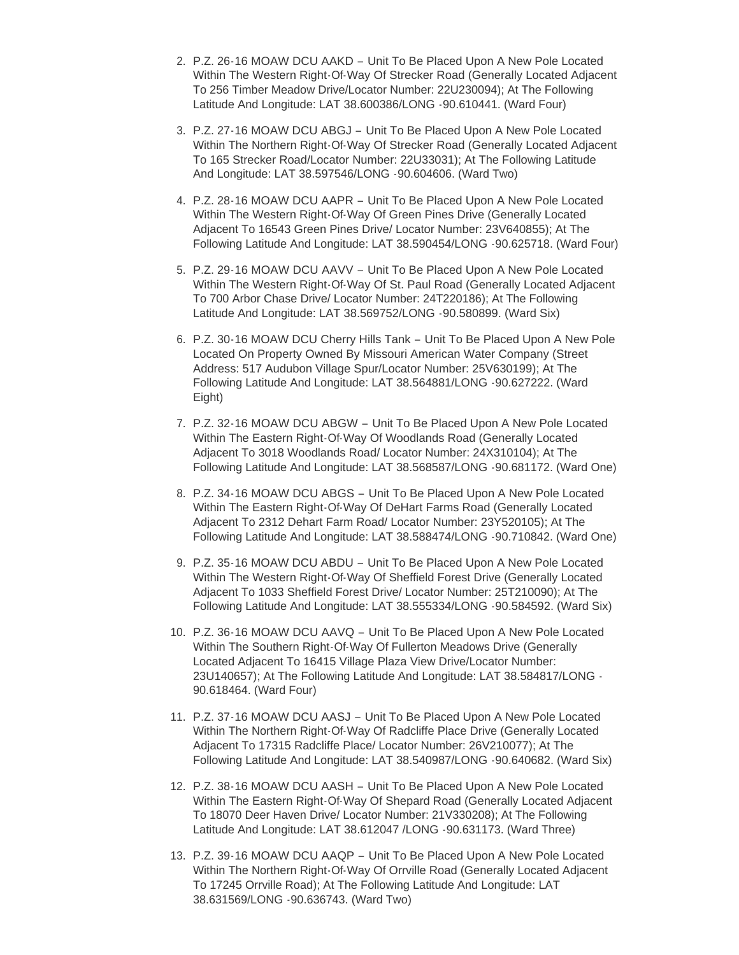- 2. P.Z. 26-16 MOAW DCU AAKD Unit To Be Placed Upon A New Pole Located Within The Western Right-Of-Way Of Strecker Road (Generally Located Adjacent To 256 Timber Meadow Drive/Locator Number: 22U230094); At The Following Latitude And Longitude: LAT 38.600386/LONG -90.610441. (Ward Four)
- 3. P.Z. 27-16 MOAW DCU ABGJ Unit To Be Placed Upon A New Pole Located Within The Northern Right-Of-Way Of Strecker Road (Generally Located Adjacent To 165 Strecker Road/Locator Number: 22U33031); At The Following Latitude And Longitude: LAT 38.597546/LONG -90.604606. (Ward Two)
- 4. P.Z. 28-16 MOAW DCU AAPR Unit To Be Placed Upon A New Pole Located Within The Western Right-Of-Way Of Green Pines Drive (Generally Located Adjacent To 16543 Green Pines Drive/ Locator Number: 23V640855); At The Following Latitude And Longitude: LAT 38.590454/LONG -90.625718. (Ward Four)
- 5. P.Z. 29-16 MOAW DCU AAVV Unit To Be Placed Upon A New Pole Located Within The Western Right-Of-Way Of St. Paul Road (Generally Located Adjacent To 700 Arbor Chase Drive/ Locator Number: 24T220186); At The Following Latitude And Longitude: LAT 38.569752/LONG -90.580899. (Ward Six)
- 6. P.Z. 30-16 MOAW DCU Cherry Hills Tank Unit To Be Placed Upon A New Pole Located On Property Owned By Missouri American Water Company (Street Address: 517 Audubon Village Spur/Locator Number: 25V630199); At The Following Latitude And Longitude: LAT 38.564881/LONG -90.627222. (Ward Eight)
- 7. P.Z. 32-16 MOAW DCU ABGW Unit To Be Placed Upon A New Pole Located Within The Eastern Right-Of-Way Of Woodlands Road (Generally Located Adjacent To 3018 Woodlands Road/ Locator Number: 24X310104); At The Following Latitude And Longitude: LAT 38.568587/LONG -90.681172. (Ward One)
- 8. P.Z. 34-16 MOAW DCU ABGS Unit To Be Placed Upon A New Pole Located Within The Eastern Right-Of-Way Of DeHart Farms Road (Generally Located Adjacent To 2312 Dehart Farm Road/ Locator Number: 23Y520105); At The Following Latitude And Longitude: LAT 38.588474/LONG -90.710842. (Ward One)
- 9. P.Z. 35-16 MOAW DCU ABDU Unit To Be Placed Upon A New Pole Located Within The Western Right-Of-Way Of Sheffield Forest Drive (Generally Located Adjacent To 1033 Sheffield Forest Drive/ Locator Number: 25T210090); At The Following Latitude And Longitude: LAT 38.555334/LONG -90.584592. (Ward Six)
- P.Z. 36-16 MOAW DCU AAVQ Unit To Be Placed Upon A New Pole Located 10. Within The Southern Right-Of-Way Of Fullerton Meadows Drive (Generally Located Adjacent To 16415 Village Plaza View Drive/Locator Number: 23U140657); At The Following Latitude And Longitude: LAT 38.584817/LONG - 90.618464. (Ward Four)
- 11. P.Z. 37-16 MOAW DCU AASJ Unit To Be Placed Upon A New Pole Located Within The Northern Right-Of-Way Of Radcliffe Place Drive (Generally Located Adjacent To 17315 Radcliffe Place/ Locator Number: 26V210077); At The Following Latitude And Longitude: LAT 38.540987/LONG -90.640682. (Ward Six)
- P.Z. 38-16 MOAW DCU AASH Unit To Be Placed Upon A New Pole Located 12. Within The Eastern Right-Of-Way Of Shepard Road (Generally Located Adjacent To 18070 Deer Haven Drive/ Locator Number: 21V330208); At The Following Latitude And Longitude: LAT 38.612047 /LONG -90.631173. (Ward Three)
- P.Z. 39-16 MOAW DCU AAQP Unit To Be Placed Upon A New Pole Located 13. Within The Northern Right-Of-Way Of Orrville Road (Generally Located Adjacent To 17245 Orrville Road); At The Following Latitude And Longitude: LAT 38.631569/LONG -90.636743. (Ward Two)